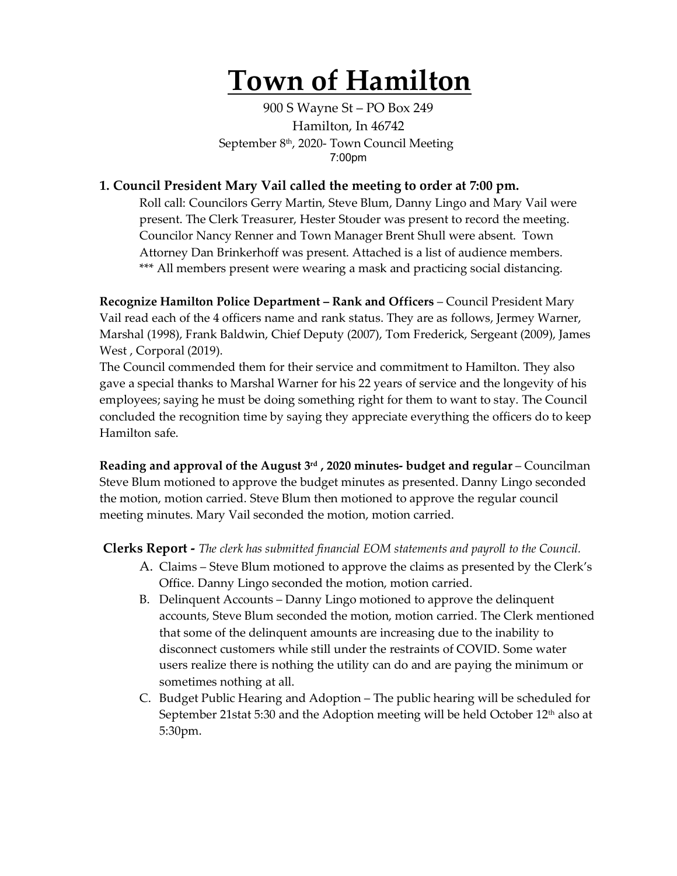# **Town of Hamilton**

900 S Wayne St – PO Box 249 Hamilton, In 46742 September 8<sup>th</sup>, 2020- Town Council Meeting 7:00pm

#### **1. Council President Mary Vail called the meeting to order at 7:00 pm.**

Roll call: Councilors Gerry Martin, Steve Blum, Danny Lingo and Mary Vail were present. The Clerk Treasurer, Hester Stouder was present to record the meeting. Councilor Nancy Renner and Town Manager Brent Shull were absent. Town Attorney Dan Brinkerhoff was present. Attached is a list of audience members. \*\*\* All members present were wearing a mask and practicing social distancing.

**Recognize Hamilton Police Department – Rank and Officers** – Council President Mary Vail read each of the 4 officers name and rank status. They are as follows, Jermey Warner, Marshal (1998), Frank Baldwin, Chief Deputy (2007), Tom Frederick, Sergeant (2009), James West , Corporal (2019).

The Council commended them for their service and commitment to Hamilton. They also gave a special thanks to Marshal Warner for his 22 years of service and the longevity of his employees; saying he must be doing something right for them to want to stay. The Council concluded the recognition time by saying they appreciate everything the officers do to keep Hamilton safe.

**Reading and approval of the August 3rd , 2020 minutes- budget and regular** – Councilman Steve Blum motioned to approve the budget minutes as presented. Danny Lingo seconded the motion, motion carried. Steve Blum then motioned to approve the regular council meeting minutes. Mary Vail seconded the motion, motion carried.

**Clerks Report -** *The clerk has submitted financial EOM statements and payroll to the Council.* 

- A. Claims Steve Blum motioned to approve the claims as presented by the Clerk's Office. Danny Lingo seconded the motion, motion carried.
- B. Delinquent Accounts Danny Lingo motioned to approve the delinquent accounts, Steve Blum seconded the motion, motion carried. The Clerk mentioned that some of the delinquent amounts are increasing due to the inability to disconnect customers while still under the restraints of COVID. Some water users realize there is nothing the utility can do and are paying the minimum or sometimes nothing at all.
- C. Budget Public Hearing and Adoption The public hearing will be scheduled for September 21stat 5:30 and the Adoption meeting will be held October 12th also at 5:30pm.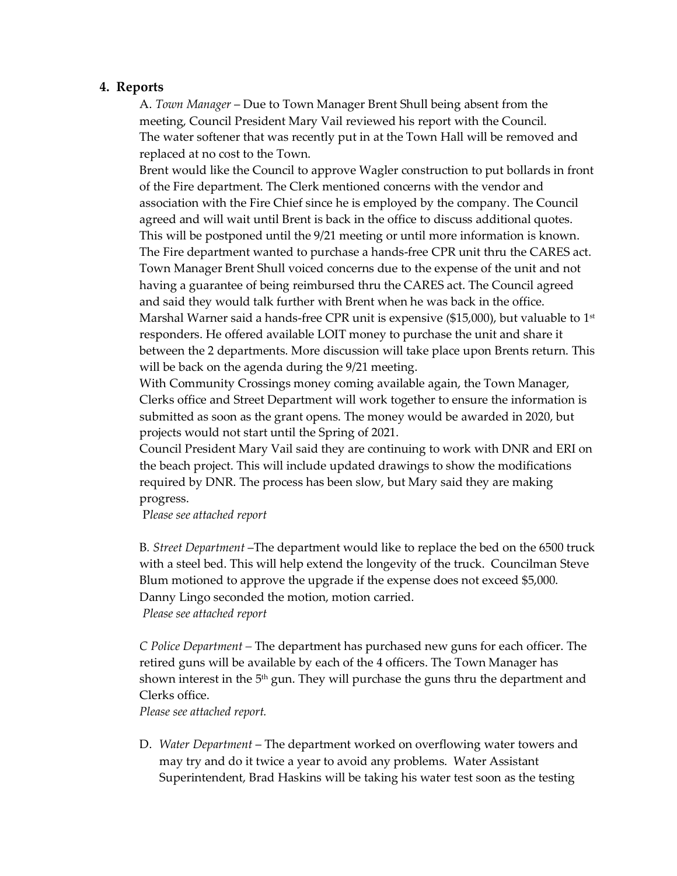#### **4. Reports**

A. *Town Manager* – Due to Town Manager Brent Shull being absent from the meeting, Council President Mary Vail reviewed his report with the Council. The water softener that was recently put in at the Town Hall will be removed and replaced at no cost to the Town.

Brent would like the Council to approve Wagler construction to put bollards in front of the Fire department. The Clerk mentioned concerns with the vendor and association with the Fire Chief since he is employed by the company. The Council agreed and will wait until Brent is back in the office to discuss additional quotes. This will be postponed until the 9/21 meeting or until more information is known. The Fire department wanted to purchase a hands-free CPR unit thru the CARES act. Town Manager Brent Shull voiced concerns due to the expense of the unit and not having a guarantee of being reimbursed thru the CARES act. The Council agreed and said they would talk further with Brent when he was back in the office. Marshal Warner said a hands-free CPR unit is expensive  $(\$15,000)$ , but valuable to  $1^{st}$ responders. He offered available LOIT money to purchase the unit and share it between the 2 departments. More discussion will take place upon Brents return. This will be back on the agenda during the 9/21 meeting.

With Community Crossings money coming available again, the Town Manager, Clerks office and Street Department will work together to ensure the information is submitted as soon as the grant opens. The money would be awarded in 2020, but projects would not start until the Spring of 2021.

Council President Mary Vail said they are continuing to work with DNR and ERI on the beach project. This will include updated drawings to show the modifications required by DNR. The process has been slow, but Mary said they are making progress.

P*lease see attached report*

B*. Street Department* –The department would like to replace the bed on the 6500 truck with a steel bed. This will help extend the longevity of the truck. Councilman Steve Blum motioned to approve the upgrade if the expense does not exceed \$5,000. Danny Lingo seconded the motion, motion carried. *Please see attached report*

*C Police Department –* The department has purchased new guns for each officer. The retired guns will be available by each of the 4 officers. The Town Manager has shown interest in the  $5<sup>th</sup>$  gun. They will purchase the guns thru the department and Clerks office.

*Please see attached report.*

D. *Water Department* – The department worked on overflowing water towers and may try and do it twice a year to avoid any problems. Water Assistant Superintendent, Brad Haskins will be taking his water test soon as the testing